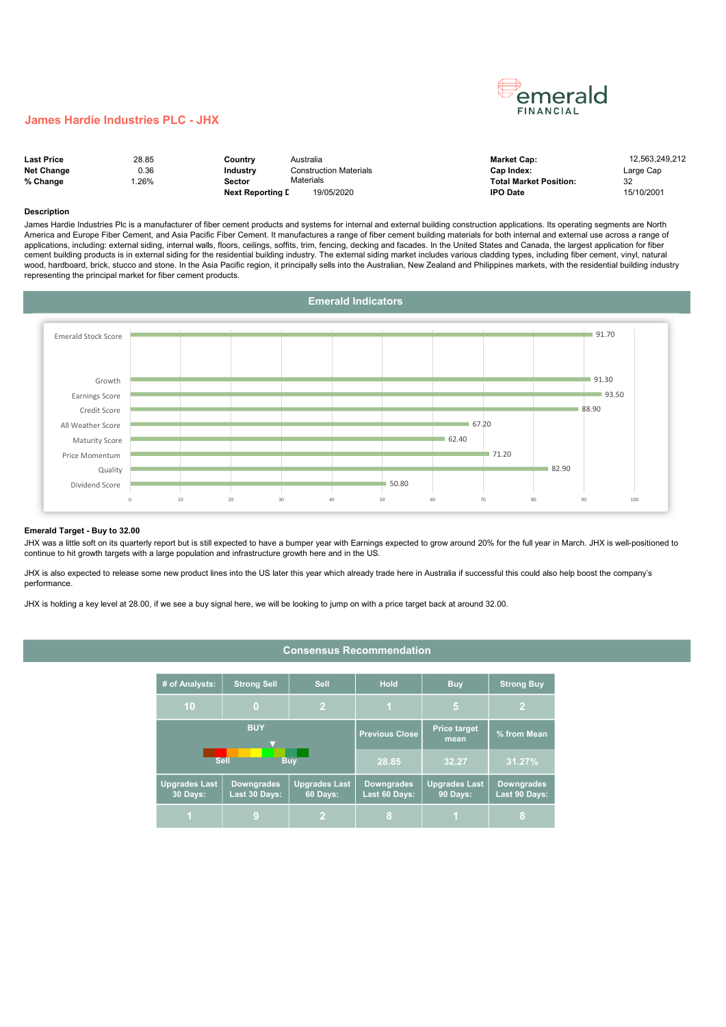## James Hardie Industries PLC - JHX

| <b>Last Price</b> | 28.85 | Country                 | Australia              | <b>Market Cap:</b>            | 12.563.249.212 |
|-------------------|-------|-------------------------|------------------------|-------------------------------|----------------|
| <b>Net Change</b> | 0.36  | <b>Industry</b>         | Construction Materials | Cap Index:                    | Large Cap      |
| % Change          | .26%  | Sector                  | Materials              | <b>Total Market Position:</b> | 32             |
|                   |       | <b>Next Reporting L</b> | 19/05/2020             | <b>IPO Date</b>               | 15/10/2001     |

émerald **FINANCIAL** 

#### Description

James Hardie Industries Plc is a manufacturer of fiber cement products and systems for internal and external building construction applications. Its operating segments are North America and Europe Fiber Cement, and Asia Pacific Fiber Cement. It manufactures a range of fiber cement building materials for both internal and external use across a range of applications, including: external siding, internal walls, floors, ceilings, soffits, trim, fencing, decking and facades. In the United States and Canada, the largest application for fiber cement building products is in external siding for the residential building industry. The external siding market includes various cladding types, including fiber cement, vinyl, natural wood, hardboard, brick, stucco and stone. In the Asia Pacific region, it principally sells into the Australian, New Zealand and Philippines markets, with the residential building industry representing the principal market for fiber cement products.



#### Emerald Target - Buy to 32.00

JHX was a little soft on its quarterly report but is still expected to have a bumper year with Earnings expected to grow around 20% for the full year in March. JHX is well-positioned to continue to hit growth targets with a large population and infrastructure growth here and in the US.

JHX is also expected to release some new product lines into the US later this year which already trade here in Australia if successful this could also help boost the company's performance.

JHX is holding a key level at 28.00, if we see a buy signal here, we will be looking to jump on with a price target back at around 32.00.

# Consensus Recommendation

| # of Analysts:                   | <b>Strong Sell</b>                 | <b>Sell</b>                      | <b>Hold</b>                        | <b>Buy</b>                       | <b>Strong Buy</b>                  |
|----------------------------------|------------------------------------|----------------------------------|------------------------------------|----------------------------------|------------------------------------|
| 10                               | $\overline{2}$<br>$\bf{0}$         |                                  |                                    | 5                                |                                    |
|                                  | <b>BUY</b>                         |                                  | <b>Previous Close</b>              | <b>Price target</b><br>mean      | % from Mean                        |
|                                  | <b>Sell</b>                        | <b>Buv</b>                       | 28.85                              | 32.27                            | 31.27%                             |
| <b>Upgrades Last</b><br>30 Days: | <b>Downgrades</b><br>Last 30 Days: | <b>Upgrades Last</b><br>60 Days: | <b>Downgrades</b><br>Last 60 Days: | <b>Upgrades Last</b><br>90 Days: | <b>Downgrades</b><br>Last 90 Days: |
|                                  | g                                  | V)                               | 8                                  |                                  | 8                                  |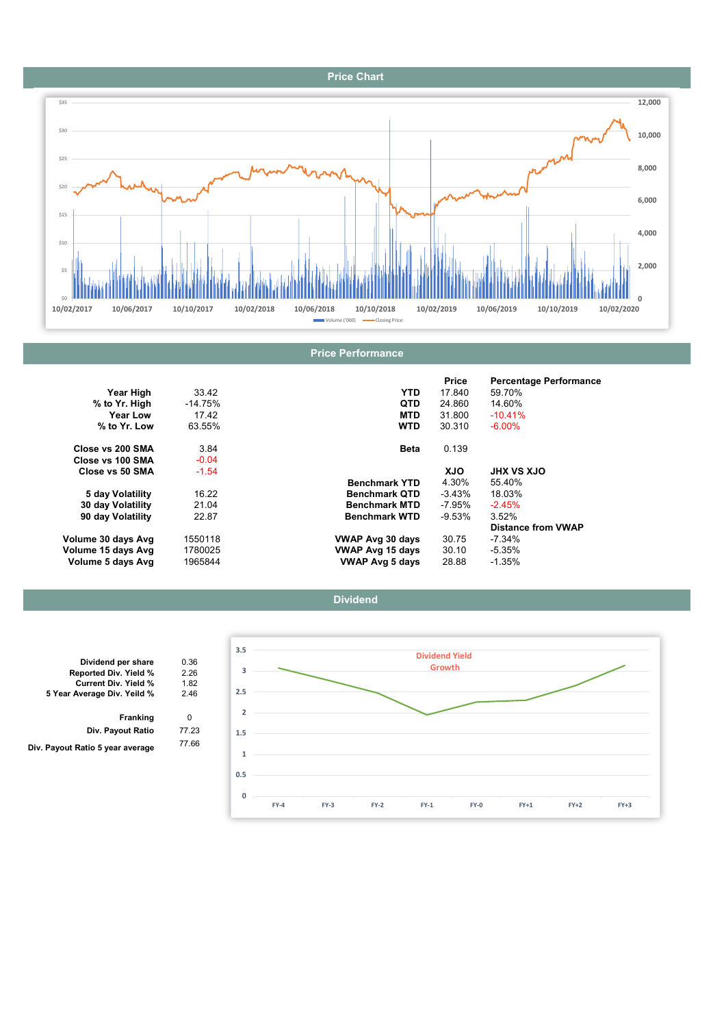# Price Chart



|                    |           |                         | Price    | <b>Percentage Performance</b> |
|--------------------|-----------|-------------------------|----------|-------------------------------|
| Year High          | 33.42     | <b>YTD</b>              | 17.840   | 59.70%                        |
| % to Yr. High      | $-14.75%$ | <b>QTD</b>              | 24.860   | 14.60%                        |
| Year Low           | 17.42     | <b>MTD</b>              | 31.800   | $-10.41%$                     |
| % to Yr. Low       | 63.55%    | <b>WTD</b>              | 30.310   | $-6.00\%$                     |
| Close vs 200 SMA   | 3.84      | Beta                    | 0.139    |                               |
| Close vs 100 SMA   | $-0.04$   |                         |          |                               |
| Close vs 50 SMA    | $-1.54$   |                         | XJO      | <b>JHX VS XJO</b>             |
|                    |           | <b>Benchmark YTD</b>    | 4.30%    | 55.40%                        |
| 5 day Volatility   | 16.22     | <b>Benchmark QTD</b>    | -3.43%   | 18.03%                        |
| 30 day Volatility  | 21.04     | <b>Benchmark MTD</b>    | -7.95%   | $-2.45%$                      |
| 90 day Volatility  | 22.87     | <b>Benchmark WTD</b>    | $-9.53%$ | 3.52%                         |
|                    |           |                         |          | <b>Distance from VWAP</b>     |
| Volume 30 days Avg | 1550118   | <b>VWAP Avg 30 days</b> | 30.75    | -7.34%                        |
| Volume 15 days Avg | 1780025   | <b>VWAP Avg 15 days</b> | 30.10    | $-5.35%$                      |
| Volume 5 days Avg  | 1965844   | <b>VWAP Avg 5 days</b>  | 28.88    | $-1.35%$                      |





|   | Dividend per share               |
|---|----------------------------------|
|   | Reported Div. Yield %            |
|   | <b>Current Div. Yield %</b>      |
|   | 5 Year Average Div. Yeild %      |
|   | Franking                         |
|   | Div. Payout Ratio                |
| 7 | Div. Payout Ratio 5 year average |
|   |                                  |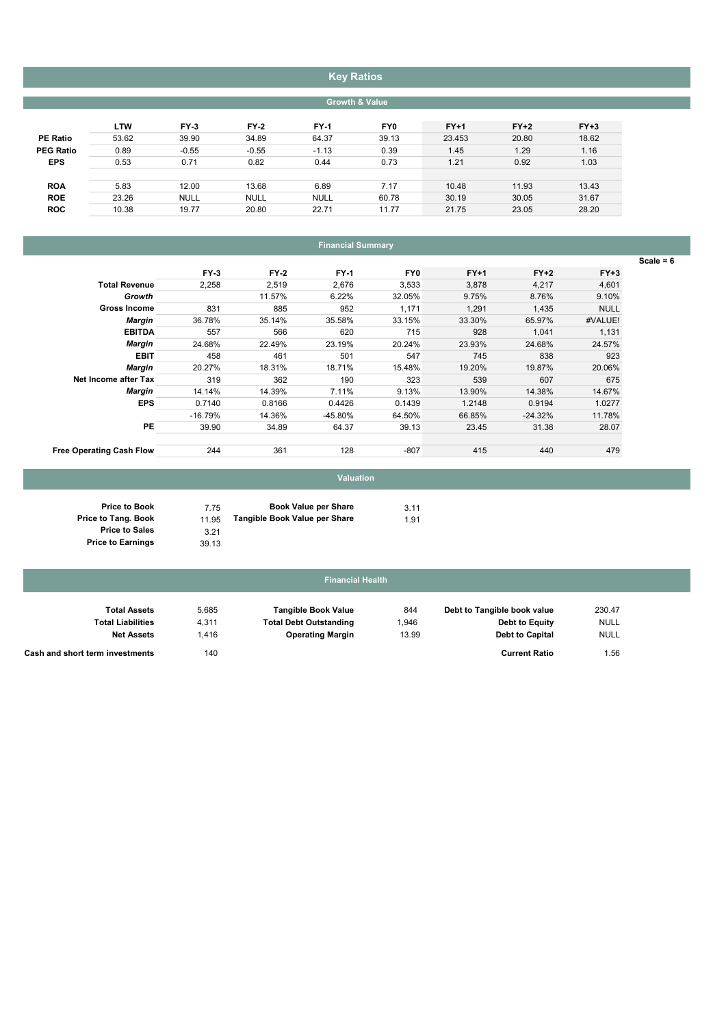# Key Ratios

## Growth & Value

|                  | <b>LTW</b> | $FY-3$      | $FY-2$      | <b>FY-1</b> | FY0   | $FY+1$ | $FY+2$ | $FY+3$ |
|------------------|------------|-------------|-------------|-------------|-------|--------|--------|--------|
| <b>PE Ratio</b>  | 53.62      | 39.90       | 34.89       | 64.37       | 39.13 | 23.453 | 20.80  | 18.62  |
| <b>PEG Ratio</b> | 0.89       | $-0.55$     | $-0.55$     | $-1.13$     | 0.39  | 1.45   | 1.29   | 1.16   |
| <b>EPS</b>       | 0.53       | 0.71        | 0.82        | 0.44        | 0.73  | 1.21   | 0.92   | 1.03   |
|                  |            |             |             |             |       |        |        |        |
| <b>ROA</b>       | 5.83       | 12.00       | 13.68       | 6.89        | 7.17  | 10.48  | 11.93  | 13.43  |
| <b>ROE</b>       | 23.26      | <b>NULL</b> | <b>NULL</b> | <b>NULL</b> | 60.78 | 30.19  | 30.05  | 31.67  |
| <b>ROC</b>       | 10.38      | 19.77       | 20.80       | 22.71       | 11.77 | 21.75  | 23.05  | 28.20  |
|                  |            |             |             |             |       |        |        |        |

# Financial Summary

|                                 | $FY-3$    | $FY-2$ | <b>FY-1</b> | FY <sub>0</sub> | $FY+1$ | $FY+2$    | $FY+3$      |
|---------------------------------|-----------|--------|-------------|-----------------|--------|-----------|-------------|
| <b>Total Revenue</b>            | 2,258     | 2,519  | 2,676       | 3,533           | 3,878  | 4,217     | 4,601       |
| Growth                          |           | 11.57% | 6.22%       | 32.05%          | 9.75%  | 8.76%     | 9.10%       |
| <b>Gross Income</b>             | 831       | 885    | 952         | 1.171           | 1.291  | 1,435     | <b>NULL</b> |
| <b>Margin</b>                   | 36.78%    | 35.14% | 35.58%      | 33.15%          | 33.30% | 65.97%    | #VALUE!     |
| <b>EBITDA</b>                   | 557       | 566    | 620         | 715             | 928    | 1,041     | 1,131       |
| Margin                          | 24.68%    | 22.49% | 23.19%      | 20.24%          | 23.93% | 24.68%    | 24.57%      |
| <b>EBIT</b>                     | 458       | 461    | 501         | 547             | 745    | 838       | 923         |
| <b>Margin</b>                   | 20.27%    | 18.31% | 18.71%      | 15.48%          | 19.20% | 19.87%    | 20.06%      |
| Net Income after Tax            | 319       | 362    | 190         | 323             | 539    | 607       | 675         |
| Margin                          | 14.14%    | 14.39% | 7.11%       | 9.13%           | 13.90% | 14.38%    | 14.67%      |
| <b>EPS</b>                      | 0.7140    | 0.8166 | 0.4426      | 0.1439          | 1.2148 | 0.9194    | 1.0277      |
|                                 | $-16.79%$ | 14.36% | $-45.80%$   | 64.50%          | 66.85% | $-24.32%$ | 11.78%      |
| PE                              | 39.90     | 34.89  | 64.37       | 39.13           | 23.45  | 31.38     | 28.07       |
| <b>Free Operating Cash Flow</b> | 244       | 361    | 128         | $-807$          | 415    | 440       | 479         |

## Price to Book Price to Tang. Book Price to Sales Price to Earnings

## 7.75 **Book Value per Share** 3.11 11.95 Tangible Book Value per Share 1.91 3.21 39.13

Valuation

| <b>Financial Health</b>         |       |                               |       |                             |             |  |  |  |  |  |
|---------------------------------|-------|-------------------------------|-------|-----------------------------|-------------|--|--|--|--|--|
| <b>Total Assets</b>             | 5,685 | <b>Tangible Book Value</b>    | 844   | Debt to Tangible book value | 230.47      |  |  |  |  |  |
| <b>Total Liabilities</b>        | 4,311 | <b>Total Debt Outstanding</b> | 1,946 | Debt to Equity              | <b>NULL</b> |  |  |  |  |  |
| <b>Net Assets</b>               | .416  | <b>Operating Margin</b>       | 13.99 | <b>Debt to Capital</b>      | <b>NULL</b> |  |  |  |  |  |
| Cash and short term investments | 140   |                               |       | <b>Current Ratio</b>        | 1.56        |  |  |  |  |  |

# Scale =  $6$